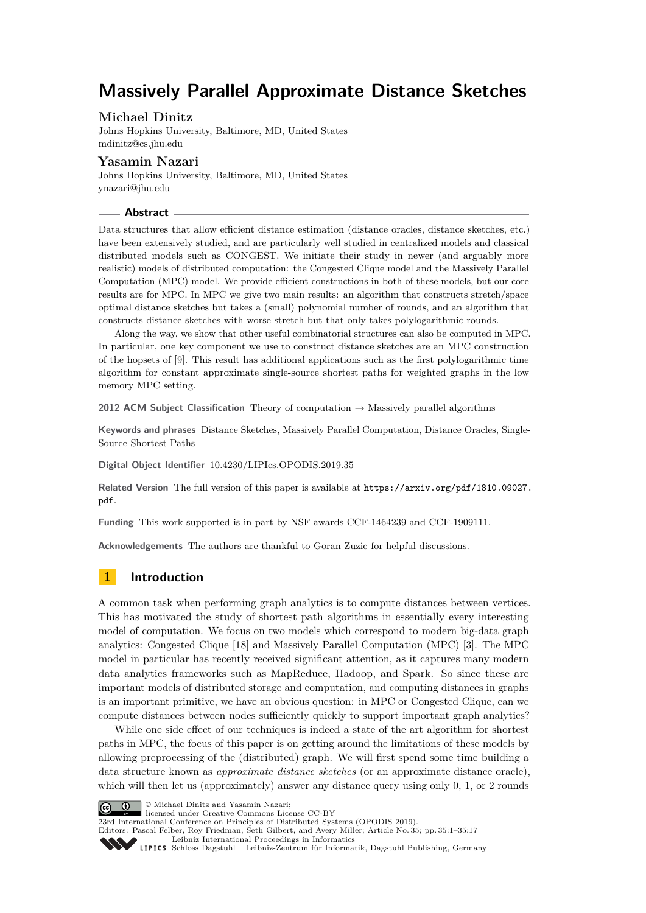# **Massively Parallel Approximate Distance Sketches**

## **Michael Dinitz**

Johns Hopkins University, Baltimore, MD, United States [mdinitz@cs.jhu.edu](mailto:mdinitz@cs.jhu.edu)

## **Yasamin Nazari**

Johns Hopkins University, Baltimore, MD, United States [ynazari@jhu.edu](mailto:ynazari@jhu.edu)

## **Abstract**

Data structures that allow efficient distance estimation (distance oracles, distance sketches, etc.) have been extensively studied, and are particularly well studied in centralized models and classical distributed models such as CONGEST. We initiate their study in newer (and arguably more realistic) models of distributed computation: the Congested Clique model and the Massively Parallel Computation (MPC) model. We provide efficient constructions in both of these models, but our core results are for MPC. In MPC we give two main results: an algorithm that constructs stretch/space optimal distance sketches but takes a (small) polynomial number of rounds, and an algorithm that constructs distance sketches with worse stretch but that only takes polylogarithmic rounds.

Along the way, we show that other useful combinatorial structures can also be computed in MPC. In particular, one key component we use to construct distance sketches are an MPC construction of the hopsets of [\[9\]](#page-15-0). This result has additional applications such as the first polylogarithmic time algorithm for constant approximate single-source shortest paths for weighted graphs in the low memory MPC setting.

**2012 ACM Subject Classification** Theory of computation → Massively parallel algorithms

**Keywords and phrases** Distance Sketches, Massively Parallel Computation, Distance Oracles, Single-Source Shortest Paths

**Digital Object Identifier** [10.4230/LIPIcs.OPODIS.2019.35](https://doi.org/10.4230/LIPIcs.OPODIS.2019.35)

**Related Version** The full version of this paper is available at [https://arxiv.org/pdf/1810.09027.](https://arxiv.org/pdf/1810.09027.pdf) [pdf](https://arxiv.org/pdf/1810.09027.pdf).

**Funding** This work supported is in part by NSF awards CCF-1464239 and CCF-1909111.

**Acknowledgements** The authors are thankful to Goran Zuzic for helpful discussions.

# **1 Introduction**

A common task when performing graph analytics is to compute distances between vertices. This has motivated the study of shortest path algorithms in essentially every interesting model of computation. We focus on two models which correspond to modern big-data graph analytics: Congested Clique [\[18\]](#page-15-1) and Massively Parallel Computation (MPC) [\[3\]](#page-14-0). The MPC model in particular has recently received significant attention, as it captures many modern data analytics frameworks such as MapReduce, Hadoop, and Spark. So since these are important models of distributed storage and computation, and computing distances in graphs is an important primitive, we have an obvious question: in MPC or Congested Clique, can we compute distances between nodes sufficiently quickly to support important graph analytics?

While one side effect of our techniques is indeed a state of the art algorithm for shortest paths in MPC, the focus of this paper is on getting around the limitations of these models by allowing preprocessing of the (distributed) graph. We will first spend some time building a data structure known as *approximate distance sketches* (or an approximate distance oracle), which will then let us (approximately) answer any distance query using only 0, 1, or 2 rounds



© Michael Dinitz and Yasamin Nazari;

licensed under Creative Commons License CC-BY

23rd International Conference on Principles of Distributed Systems (OPODIS 2019). Editors: Pascal Felber, Roy Friedman, Seth Gilbert, and Avery Miller; Article No. 35; pp. 35:1–35[:17](#page-16-0)

[Leibniz International Proceedings in Informatics](https://www.dagstuhl.de/lipics/)

[Schloss Dagstuhl – Leibniz-Zentrum für Informatik, Dagstuhl Publishing, Germany](https://www.dagstuhl.de)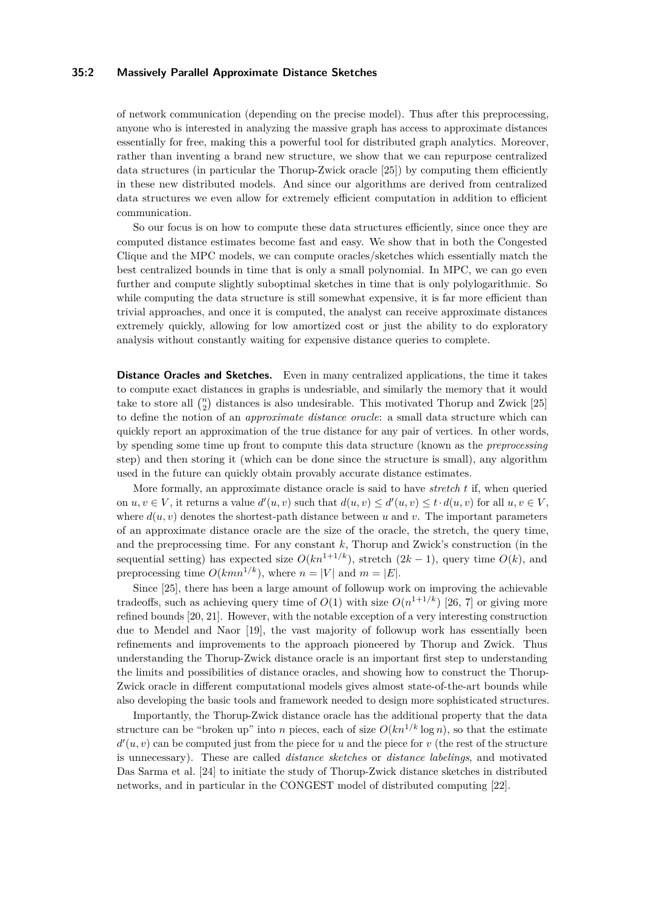## **35:2 Massively Parallel Approximate Distance Sketches**

of network communication (depending on the precise model). Thus after this preprocessing, anyone who is interested in analyzing the massive graph has access to approximate distances essentially for free, making this a powerful tool for distributed graph analytics. Moreover, rather than inventing a brand new structure, we show that we can repurpose centralized data structures (in particular the Thorup-Zwick oracle [\[25\]](#page-16-1)) by computing them efficiently in these new distributed models. And since our algorithms are derived from centralized data structures we even allow for extremely efficient computation in addition to efficient communication.

So our focus is on how to compute these data structures efficiently, since once they are computed distance estimates become fast and easy. We show that in both the Congested Clique and the MPC models, we can compute oracles/sketches which essentially match the best centralized bounds in time that is only a small polynomial. In MPC, we can go even further and compute slightly suboptimal sketches in time that is only polylogarithmic. So while computing the data structure is still somewhat expensive, it is far more efficient than trivial approaches, and once it is computed, the analyst can receive approximate distances extremely quickly, allowing for low amortized cost or just the ability to do exploratory analysis without constantly waiting for expensive distance queries to complete.

**Distance Oracles and Sketches.** Even in many centralized applications, the time it takes to compute exact distances in graphs is undesriable, and similarly the memory that it would take to store all  $\binom{n}{2}$  distances is also undesirable. This motivated Thorup and Zwick [\[25\]](#page-16-1) to define the notion of an *approximate distance oracle*: a small data structure which can quickly report an approximation of the true distance for any pair of vertices. In other words, by spending some time up front to compute this data structure (known as the *preprocessing* step) and then storing it (which can be done since the structure is small), any algorithm used in the future can quickly obtain provably accurate distance estimates.

More formally, an approximate distance oracle is said to have *stretch t* if, when queried on  $u, v \in V$ , it returns a value  $d'(u, v)$  such that  $d(u, v) \le d'(u, v) \le t \cdot d(u, v)$  for all  $u, v \in V$ , where  $d(u, v)$  denotes the shortest-path distance between *u* and *v*. The important parameters of an approximate distance oracle are the size of the oracle, the stretch, the query time, and the preprocessing time. For any constant *k*, Thorup and Zwick's construction (in the sequential setting) has expected size  $O(kn^{1+1/k})$ , stretch  $(2k-1)$ , query time  $O(k)$ , and preprocessing time  $O(kmn^{1/k})$ , where  $n = |V|$  and  $m = |E|$ .

Since [\[25\]](#page-16-1), there has been a large amount of followup work on improving the achievable tradeoffs, such as achieving query time of  $O(1)$  with size  $O(n^{1+1/k})$  [\[26,](#page-16-2) [7\]](#page-15-2) or giving more refined bounds [\[20,](#page-15-3) [21\]](#page-15-4). However, with the notable exception of a very interesting construction due to Mendel and Naor [\[19\]](#page-15-5), the vast majority of followup work has essentially been refinements and improvements to the approach pioneered by Thorup and Zwick. Thus understanding the Thorup-Zwick distance oracle is an important first step to understanding the limits and possibilities of distance oracles, and showing how to construct the Thorup-Zwick oracle in different computational models gives almost state-of-the-art bounds while also developing the basic tools and framework needed to design more sophisticated structures.

Importantly, the Thorup-Zwick distance oracle has the additional property that the data structure can be "broken up" into *n* pieces, each of size  $O(kn^{1/k} \log n)$ , so that the estimate  $d'(u, v)$  can be computed just from the piece for *u* and the piece for *v* (the rest of the structure is unnecessary). These are called *distance sketches* or *distance labelings*, and motivated Das Sarma et al. [\[24\]](#page-15-6) to initiate the study of Thorup-Zwick distance sketches in distributed networks, and in particular in the CONGEST model of distributed computing [\[22\]](#page-15-7).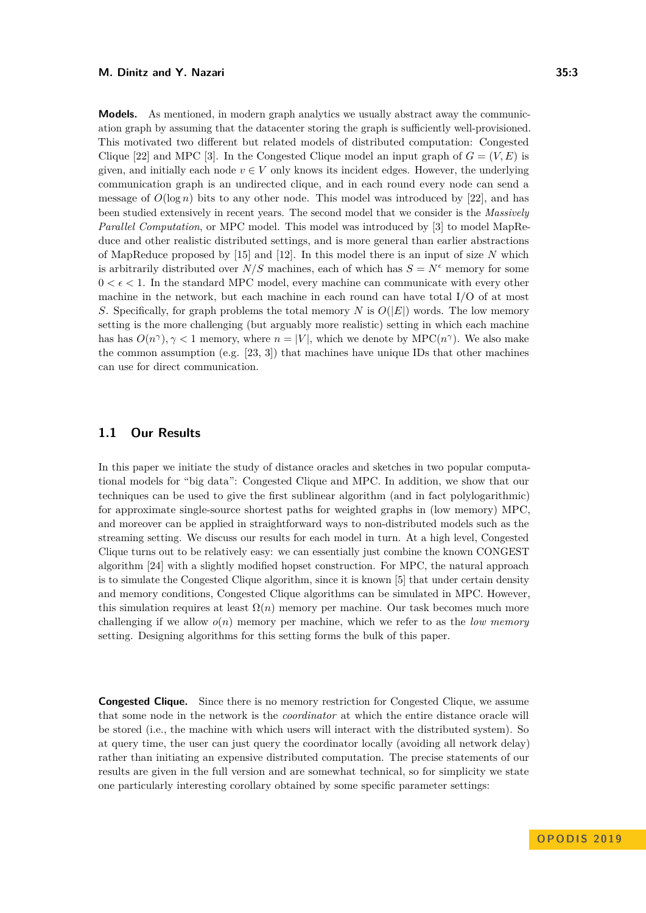**Models.** As mentioned, in modern graph analytics we usually abstract away the communication graph by assuming that the datacenter storing the graph is sufficiently well-provisioned. This motivated two different but related models of distributed computation: Congested Clique [\[22\]](#page-15-7) and MPC [\[3\]](#page-14-0). In the Congested Clique model an input graph of  $G = (V, E)$  is given, and initially each node  $v \in V$  only knows its incident edges. However, the underlying communication graph is an undirected clique, and in each round every node can send a message of  $O(\log n)$  bits to any other node. This model was introduced by [\[22\]](#page-15-7), and has been studied extensively in recent years. The second model that we consider is the *Massively Parallel Computation*, or MPC model. This model was introduced by [\[3\]](#page-14-0) to model MapReduce and other realistic distributed settings, and is more general than earlier abstractions of MapReduce proposed by [\[15\]](#page-15-8) and [\[12\]](#page-15-9). In this model there is an input of size *N* which is arbitrarily distributed over  $N/S$  machines, each of which has  $S = N^{\epsilon}$  memory for some  $0 < \epsilon < 1$ . In the standard MPC model, every machine can communicate with every other machine in the network, but each machine in each round can have total I/O of at most *S*. Specifically, for graph problems the total memory *N* is *O*(|*E*|) words. The low memory setting is the more challenging (but arguably more realistic) setting in which each machine has has  $O(n^{\gamma})$ ,  $\gamma$  < 1 memory, where  $n = |V|$ , which we denote by MPC( $n^{\gamma}$ ). We also make the common assumption (e.g.  $[23, 3]$  $[23, 3]$  $[23, 3]$ ) that machines have unique IDs that other machines can use for direct communication.

## **1.1 Our Results**

In this paper we initiate the study of distance oracles and sketches in two popular computational models for "big data": Congested Clique and MPC. In addition, we show that our techniques can be used to give the first sublinear algorithm (and in fact polylogarithmic) for approximate single-source shortest paths for weighted graphs in (low memory) MPC, and moreover can be applied in straightforward ways to non-distributed models such as the streaming setting. We discuss our results for each model in turn. At a high level, Congested Clique turns out to be relatively easy: we can essentially just combine the known CONGEST algorithm [\[24\]](#page-15-6) with a slightly modified hopset construction. For MPC, the natural approach is to simulate the Congested Clique algorithm, since it is known [\[5\]](#page-14-1) that under certain density and memory conditions, Congested Clique algorithms can be simulated in MPC. However, this simulation requires at least  $\Omega(n)$  memory per machine. Our task becomes much more challenging if we allow *o*(*n*) memory per machine, which we refer to as the *low memory* setting. Designing algorithms for this setting forms the bulk of this paper.

**Congested Clique.** Since there is no memory restriction for Congested Clique, we assume that some node in the network is the *coordinator* at which the entire distance oracle will be stored (i.e., the machine with which users will interact with the distributed system). So at query time, the user can just query the coordinator locally (avoiding all network delay) rather than initiating an expensive distributed computation. The precise statements of our results are given in the full version and are somewhat technical, so for simplicity we state one particularly interesting corollary obtained by some specific parameter settings: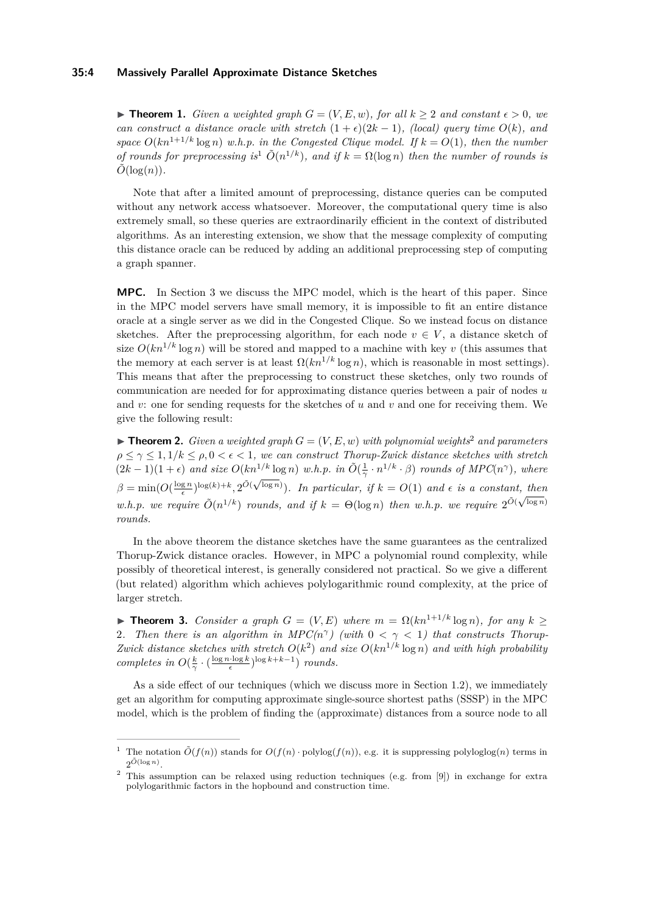#### **35:4 Massively Parallel Approximate Distance Sketches**

▶ **Theorem 1.** *Given a weighted graph*  $G = (V, E, w)$ *, for all*  $k > 2$  *and constant*  $\epsilon > 0$ *, we can construct a distance oracle with stretch*  $(1 + \epsilon)(2k - 1)$ *, (local) query time*  $O(k)$ *, and space*  $O(kn^{1+1/k} \log n)$  *w.h.p. in the Congested Clique model. If*  $k = O(1)$ *, then the number of rounds for preprocessing is*<sup>[1](#page-3-0)</sup>  $\tilde{O}(n^{1/k})$ *, and if*  $k = \Omega(\log n)$  *then the number of rounds is*  $\tilde{O}(\log(n)).$ 

Note that after a limited amount of preprocessing, distance queries can be computed without any network access whatsoever. Moreover, the computational query time is also extremely small, so these queries are extraordinarily efficient in the context of distributed algorithms. As an interesting extension, we show that the message complexity of computing this distance oracle can be reduced by adding an additional preprocessing step of computing a graph spanner.

**MPC.** In Section [3](#page-8-0) we discuss the MPC model, which is the heart of this paper. Since in the MPC model servers have small memory, it is impossible to fit an entire distance oracle at a single server as we did in the Congested Clique. So we instead focus on distance sketches. After the preprocessing algorithm, for each node  $v \in V$ , a distance sketch of size  $O(kn^{1/k} \log n)$  will be stored and mapped to a machine with key *v* (this assumes that the memory at each server is at least  $\Omega(kn^{1/k} \log n)$ , which is reasonable in most settings). This means that after the preprocessing to construct these sketches, only two rounds of communication are needed for for approximating distance queries between a pair of nodes *u* and *v*: one for sending requests for the sketches of *u* and *v* and one for receiving them. We give the following result:

<span id="page-3-2"></span> $\blacktriangleright$  **Theorem [2](#page-3-1).** *Given a weighted graph*  $G = (V, E, w)$  *with polynomial weights*<sup>2</sup> *and parameters*  $\rho \leq \gamma \leq 1, 1/k \leq \rho, 0 < \epsilon < 1$ , we can construct Thorup-Zwick distance sketches with stretch  $(2k-1)(1+\epsilon)$  *and size*  $O(kn^{1/k} \log n)$  *w.h.p. in*  $\tilde{O}(\frac{1}{\gamma} \cdot n^{1/k} \cdot \beta)$  *rounds of MPC*(*n*<sup> $\gamma$ </sup>)*, where*  $\beta = \min(O(\frac{\log n}{\epsilon})^{\log(k)+k}, 2^{\tilde{O}(\sqrt{\log n}}))$ *. In particular, if*  $k = O(1)$  *and*  $\epsilon$  *is a constant, then w.h.p. we require*  $\tilde{O}(n^{1/k})$  *rounds, and if*  $k = \Theta(\log n)$  *then w.h.p. we require*  $2^{\tilde{O}(\sqrt{\log n})}$ *rounds.*

In the above theorem the distance sketches have the same guarantees as the centralized Thorup-Zwick distance oracles. However, in MPC a polynomial round complexity, while possibly of theoretical interest, is generally considered not practical. So we give a different (but related) algorithm which achieves polylogarithmic round complexity, at the price of larger stretch.

<span id="page-3-3"></span> $\blacktriangleright$  **Theorem 3.** *Consider a graph G* = (*V, E*) *where m* =  $\Omega(kn^{1+1/k} \log n)$ *, for any k* > 2. Then there is an algorithm in  $MPC(n^{\gamma})$  (with  $0 < \gamma < 1$ ) that constructs Thorup-*Zwick distance sketches with stretch*  $O(k^2)$  *and size*  $O(kn^{1/k} \log n)$  *and with high probability completes in*  $O(\frac{k}{\gamma} \cdot (\frac{\log n \cdot \log k}{\epsilon})^{\log k + k - 1})$  *rounds.* 

As a side effect of our techniques (which we discuss more in Section [1.2\)](#page-4-0), we immediately get an algorithm for computing approximate single-source shortest paths (SSSP) in the MPC model, which is the problem of finding the (approximate) distances from a source node to all

<span id="page-3-0"></span><sup>&</sup>lt;sup>1</sup> The notation  $\tilde{O}(f(n))$  stands for  $O(f(n) \cdot \text{polylog}(f(n))$ , e.g. it is suppressing polyloglog(*n*) terms in  $2^{\tilde{O}(\log n)}$ .

<span id="page-3-1"></span><sup>2</sup> This assumption can be relaxed using reduction techniques (e.g. from [\[9\]](#page-15-0)) in exchange for extra polylogarithmic factors in the hopbound and construction time.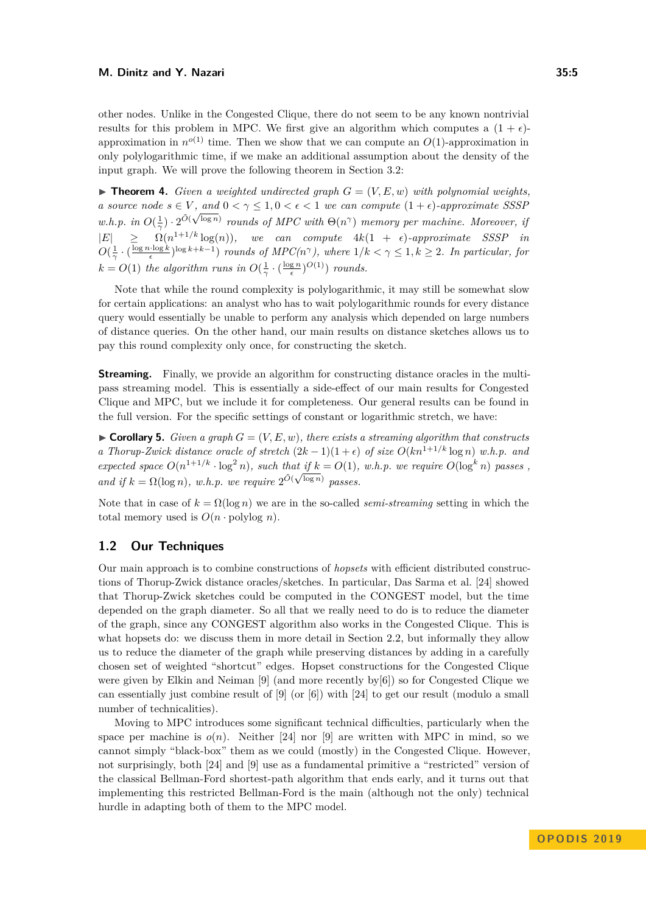other nodes. Unlike in the Congested Clique, there do not seem to be any known nontrivial results for this problem in MPC. We first give an algorithm which computes a  $(1 + \epsilon)$ approximation in  $n^{o(1)}$  time. Then we show that we can compute an  $O(1)$ -approximation in only polylogarithmic time, if we make an additional assumption about the density of the input graph. We will prove the following theorem in Section [3.2:](#page-13-0)

 $\blacktriangleright$  **Theorem 4.** *Given a weighted undirected graph*  $G = (V, E, w)$  *with polynomial weights. a source node*  $s \in V$ , and  $0 < \gamma \leq 1, 0 < \epsilon < 1$  *we can compute*  $(1 + \epsilon)$ -*approximate SSSP w.h.p.* in  $O(\frac{1}{\alpha}) \cdot 2^{\tilde{O}(\sqrt{\log n})}$  *rounds of MPC with*  $\Theta(n^{\gamma})$  *memory per machine. Moreover, if γ*  $|E| \geq \Omega(n^{1+1/k} \log(n))$ , we can compute  $4k(1 + \epsilon)$ -approximate SSSP in  $O(\frac{1}{\gamma} \cdot (\frac{\log n \cdot \log k}{\epsilon})^{\log k + k - 1})$  *rounds of MPC(n<sup>* $\gamma$ *</sup>), where*  $1/k < \gamma \leq 1, k \geq 2$ *. In particular, for*  $k = O(1)$  *the algorithm runs in*  $O(\frac{1}{\gamma} \cdot (\frac{\log n}{\epsilon})^{O(1)})$  *rounds.* 

Note that while the round complexity is polylogarithmic, it may still be somewhat slow for certain applications: an analyst who has to wait polylogarithmic rounds for every distance query would essentially be unable to perform any analysis which depended on large numbers of distance queries. On the other hand, our main results on distance sketches allows us to pay this round complexity only once, for constructing the sketch.

**Streaming.** Finally, we provide an algorithm for constructing distance oracles in the multipass streaming model. This is essentially a side-effect of our main results for Congested Clique and MPC, but we include it for completeness. Our general results can be found in the full version. For the specific settings of constant or logarithmic stretch, we have:

 $\triangleright$  **Corollary 5.** *Given a graph*  $G = (V, E, w)$ *, there exists a streaming algorithm that constructs a Thorup-Zwick distance oracle of stretch*  $(2k-1)(1+\epsilon)$  *of size*  $O(kn^{1+1/k} \log n)$  *w.h.p.* and *expected space*  $O(n^{1+1/k} \cdot \log^2 n)$ *, such that if*  $k = O(1)$ *, w.h.p. we require*  $O(\log^k n)$  passes, and if  $k = \Omega(\log n)$ , w.h.p. we require  $2^{\tilde{O}(\sqrt{\log n})}$  passes.

Note that in case of  $k = \Omega(\log n)$  we are in the so-called *semi-streaming* setting in which the total memory used is  $O(n \cdot \text{polylog } n)$ .

## <span id="page-4-0"></span>**1.2 Our Techniques**

Our main approach is to combine constructions of *hopsets* with efficient distributed constructions of Thorup-Zwick distance oracles/sketches. In particular, Das Sarma et al. [\[24\]](#page-15-6) showed that Thorup-Zwick sketches could be computed in the CONGEST model, but the time depended on the graph diameter. So all that we really need to do is to reduce the diameter of the graph, since any CONGEST algorithm also works in the Congested Clique. This is what hopsets do: we discuss them in more detail in Section [2.2,](#page-6-0) but informally they allow us to reduce the diameter of the graph while preserving distances by adding in a carefully chosen set of weighted "shortcut" edges. Hopset constructions for the Congested Clique were given by Elkin and Neiman [\[9\]](#page-15-0) (and more recently by[\[6\]](#page-15-11)) so for Congested Clique we can essentially just combine result of  $[9]$  (or  $[6]$ ) with  $[24]$  to get our result (modulo a small number of technicalities).

Moving to MPC introduces some significant technical difficulties, particularly when the space per machine is  $o(n)$ . Neither [\[24\]](#page-15-6) nor [\[9\]](#page-15-0) are written with MPC in mind, so we cannot simply "black-box" them as we could (mostly) in the Congested Clique. However, not surprisingly, both [\[24\]](#page-15-6) and [\[9\]](#page-15-0) use as a fundamental primitive a "restricted" version of the classical Bellman-Ford shortest-path algorithm that ends early, and it turns out that implementing this restricted Bellman-Ford is the main (although not the only) technical hurdle in adapting both of them to the MPC model.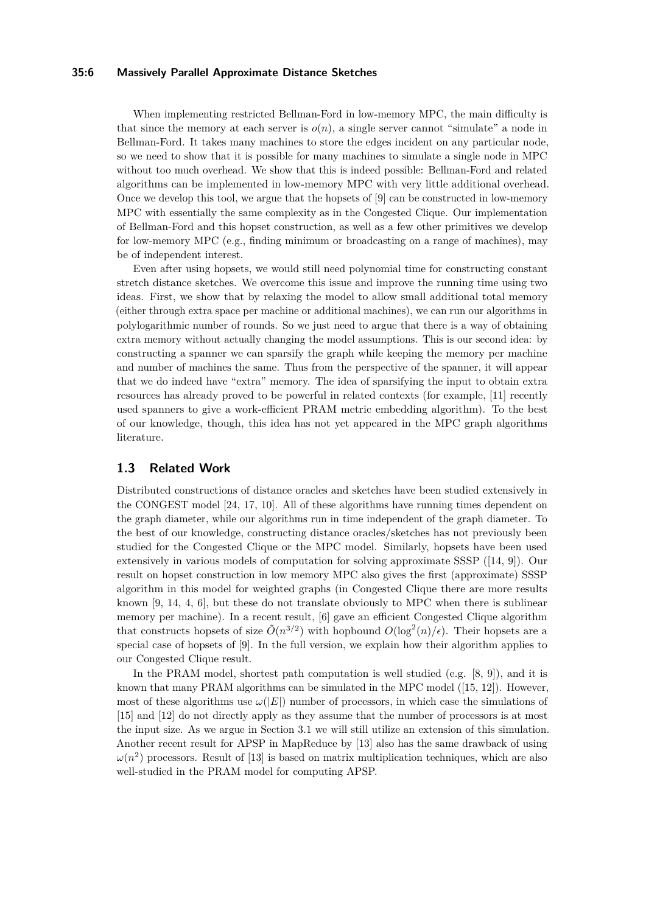## **35:6 Massively Parallel Approximate Distance Sketches**

When implementing restricted Bellman-Ford in low-memory MPC, the main difficulty is that since the memory at each server is  $o(n)$ , a single server cannot "simulate" a node in Bellman-Ford. It takes many machines to store the edges incident on any particular node, so we need to show that it is possible for many machines to simulate a single node in MPC without too much overhead. We show that this is indeed possible: Bellman-Ford and related algorithms can be implemented in low-memory MPC with very little additional overhead. Once we develop this tool, we argue that the hopsets of [\[9\]](#page-15-0) can be constructed in low-memory MPC with essentially the same complexity as in the Congested Clique. Our implementation of Bellman-Ford and this hopset construction, as well as a few other primitives we develop for low-memory MPC (e.g., finding minimum or broadcasting on a range of machines), may be of independent interest.

Even after using hopsets, we would still need polynomial time for constructing constant stretch distance sketches. We overcome this issue and improve the running time using two ideas. First, we show that by relaxing the model to allow small additional total memory (either through extra space per machine or additional machines), we can run our algorithms in polylogarithmic number of rounds. So we just need to argue that there is a way of obtaining extra memory without actually changing the model assumptions. This is our second idea: by constructing a spanner we can sparsify the graph while keeping the memory per machine and number of machines the same. Thus from the perspective of the spanner, it will appear that we do indeed have "extra" memory. The idea of sparsifying the input to obtain extra resources has already proved to be powerful in related contexts (for example, [\[11\]](#page-15-12) recently used spanners to give a work-efficient PRAM metric embedding algorithm). To the best of our knowledge, though, this idea has not yet appeared in the MPC graph algorithms literature.

## **1.3 Related Work**

Distributed constructions of distance oracles and sketches have been studied extensively in the CONGEST model [\[24,](#page-15-6) [17,](#page-15-13) [10\]](#page-15-14). All of these algorithms have running times dependent on the graph diameter, while our algorithms run in time independent of the graph diameter. To the best of our knowledge, constructing distance oracles/sketches has not previously been studied for the Congested Clique or the MPC model. Similarly, hopsets have been used extensively in various models of computation for solving approximate SSSP ([\[14,](#page-15-15) [9\]](#page-15-0)). Our result on hopset construction in low memory MPC also gives the first (approximate) SSSP algorithm in this model for weighted graphs (in Congested Clique there are more results known [\[9,](#page-15-0) [14,](#page-15-15) [4,](#page-14-2) [6\]](#page-15-11), but these do not translate obviously to MPC when there is sublinear memory per machine). In a recent result, [\[6\]](#page-15-11) gave an efficient Congested Clique algorithm that constructs hopsets of size  $\tilde{O}(n^{3/2})$  with hopbound  $O(\log^2(n)/\epsilon)$ . Their hopsets are a special case of hopsets of [\[9\]](#page-15-0). In the full version, we explain how their algorithm applies to our Congested Clique result.

In the PRAM model, shortest path computation is well studied (e.g. [\[8,](#page-15-16) [9\]](#page-15-0)), and it is known that many PRAM algorithms can be simulated in the MPC model ([\[15,](#page-15-8) [12\]](#page-15-9)). However, most of these algorithms use  $\omega(|E|)$  number of processors, in which case the simulations of [\[15\]](#page-15-8) and [\[12\]](#page-15-9) do not directly apply as they assume that the number of processors is at most the input size. As we argue in Section [3.1](#page-11-0) we will still utilize an extension of this simulation. Another recent result for APSP in MapReduce by [\[13\]](#page-15-17) also has the same drawback of using  $\omega(n^2)$  processors. Result of [\[13\]](#page-15-17) is based on matrix multiplication techniques, which are also well-studied in the PRAM model for computing APSP.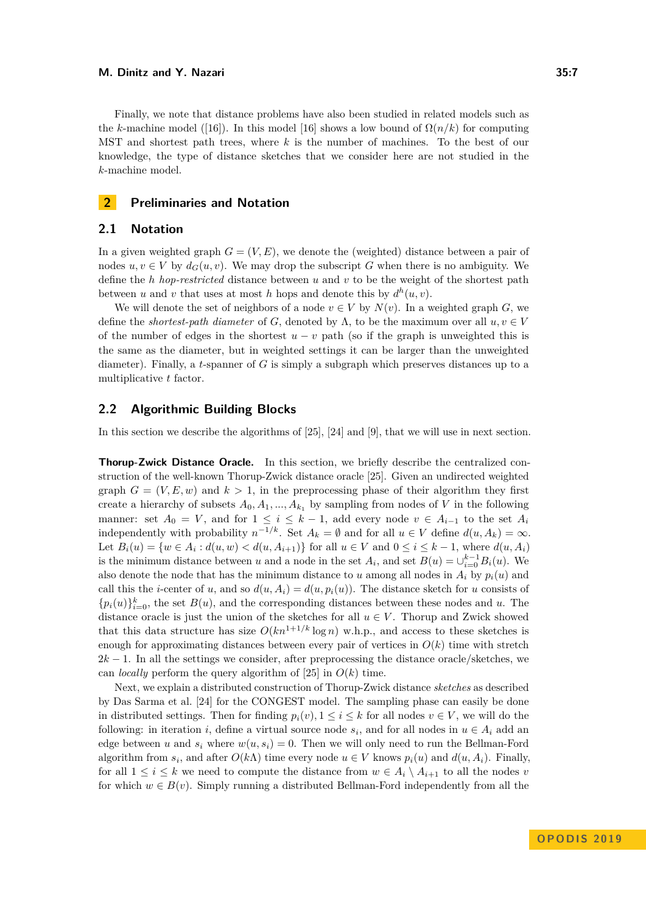Finally, we note that distance problems have also been studied in related models such as the *k*-machine model ([\[16\]](#page-15-18)). In this model [16] shows a low bound of  $\Omega(n/k)$  for computing MST and shortest path trees, where *k* is the number of machines. To the best of our knowledge, the type of distance sketches that we consider here are not studied in the *k*-machine model.

## **2 Preliminaries and Notation**

## **2.1 Notation**

In a given weighted graph  $G = (V, E)$ , we denote the (weighted) distance between a pair of nodes  $u, v \in V$  by  $d_G(u, v)$ . We may drop the subscript *G* when there is no ambiguity. We define the *h hop-restricted* distance between *u* and *v* to be the weight of the shortest path between *u* and *v* that uses at most *h* hops and denote this by  $d^h(u, v)$ .

We will denote the set of neighbors of a node  $v \in V$  by  $N(v)$ . In a weighted graph *G*, we define the *shortest-path diameter* of *G*, denoted by  $\Lambda$ , to be the maximum over all  $u, v \in V$ of the number of edges in the shortest  $u - v$  path (so if the graph is unweighted this is the same as the diameter, but in weighted settings it can be larger than the unweighted diameter). Finally, a *t*-spanner of *G* is simply a subgraph which preserves distances up to a multiplicative *t* factor.

## <span id="page-6-0"></span>**2.2 Algorithmic Building Blocks**

In this section we describe the algorithms of [\[25\]](#page-16-1), [\[24\]](#page-15-6) and [\[9\]](#page-15-0), that we will use in next section.

<span id="page-6-1"></span>**Thorup-Zwick Distance Oracle.** In this section, we briefly describe the centralized construction of the well-known Thorup-Zwick distance oracle [\[25\]](#page-16-1). Given an undirected weighted graph  $G = (V, E, w)$  and  $k > 1$ , in the preprocessing phase of their algorithm they first create a hierarchy of subsets  $A_0, A_1, ..., A_{k_1}$  by sampling from nodes of *V* in the following manner: set  $A_0 = V$ , and for  $1 \leq i \leq k-1$ , add every node  $v \in A_{i-1}$  to the set  $A_i$ independently with probability  $n^{-1/k}$ . Set  $A_k = \emptyset$  and for all  $u \in V$  define  $d(u, A_k) = \infty$ . Let  $B_i(u) = \{w \in A_i : d(u, w) < d(u, A_{i+1})\}$  for all  $u \in V$  and  $0 \le i \le k - 1$ , where  $d(u, A_i)$ is the minimum distance between *u* and a node in the set  $A_i$ , and set  $B(u) = \bigcup_{i=0}^{k-1} B_i(u)$ . We also denote the node that has the minimum distance to *u* among all nodes in  $A_i$  by  $p_i(u)$  and call this the *i*-center of *u*, and so  $d(u, A_i) = d(u, p_i(u))$ . The distance sketch for *u* consists of  ${p_i(u)}_{i=0}^k$ , the set  $B(u)$ , and the corresponding distances between these nodes and *u*. The distance oracle is just the union of the sketches for all  $u \in V$ . Thorup and Zwick showed that this data structure has size  $O(kn^{1+1/k} \log n)$  w.h.p., and access to these sketches is enough for approximating distances between every pair of vertices in  $O(k)$  time with stretch  $2k - 1$ . In all the settings we consider, after preprocessing the distance oracle/sketches, we can *locally* perform the query algorithm of [\[25\]](#page-16-1) in  $O(k)$  time.

Next, we explain a distributed construction of Thorup-Zwick distance *sketches* as described by Das Sarma et al. [\[24\]](#page-15-6) for the CONGEST model. The sampling phase can easily be done in distributed settings. Then for finding  $p_i(v)$ ,  $1 \leq i \leq k$  for all nodes  $v \in V$ , we will do the following: in iteration *i*, define a virtual source node  $s_i$ , and for all nodes in  $u \in A_i$  add an edge between *u* and  $s_i$  where  $w(u, s_i) = 0$ . Then we will only need to run the Bellman-Ford algorithm from  $s_i$ , and after  $O(k\Lambda)$  time every node  $u \in V$  knows  $p_i(u)$  and  $d(u, A_i)$ . Finally, for all  $1 \leq i \leq k$  we need to compute the distance from  $w \in A_i \setminus A_{i+1}$  to all the nodes *v* for which  $w \in B(v)$ . Simply running a distributed Bellman-Ford independently from all the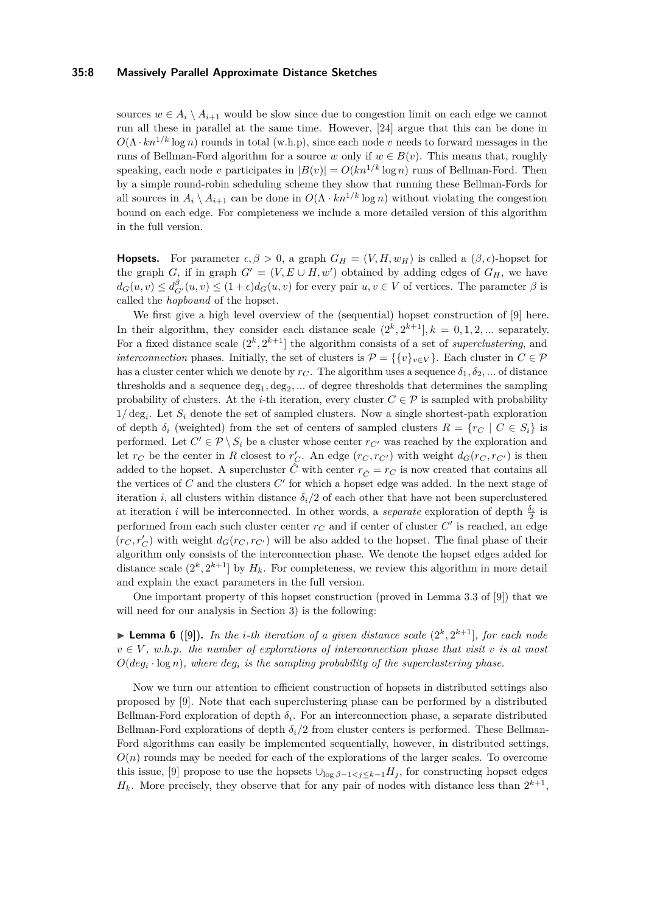### **35:8 Massively Parallel Approximate Distance Sketches**

sources  $w \in A_i \setminus A_{i+1}$  would be slow since due to congestion limit on each edge we cannot run all these in parallel at the same time. However, [\[24\]](#page-15-6) argue that this can be done in  $O(\Lambda \cdot kn^{1/k} \log n)$  rounds in total (w.h.p), since each node *v* needs to forward messages in the runs of Bellman-Ford algorithm for a source *w* only if  $w \in B(v)$ . This means that, roughly speaking, each node *v* participates in  $|B(v)| = O(kn^{1/k} \log n)$  runs of Bellman-Ford. Then by a simple round-robin scheduling scheme they show that running these Bellman-Fords for all sources in  $A_i \setminus A_{i+1}$  can be done in  $O(\Lambda \cdot kn^{1/k} \log n)$  without violating the congestion bound on each edge. For completeness we include a more detailed version of this algorithm in the full version.

**Hopsets.** For parameter  $\epsilon, \beta > 0$ , a graph  $G_H = (V, H, w_H)$  is called a  $(\beta, \epsilon)$ -hopset for the graph *G*, if in graph  $G' = (V, E \cup H, w')$  obtained by adding edges of  $G_H$ , we have  $d_G(u, v) \le d_{G'}^{\beta}(u, v) \le (1 + \epsilon) d_G(u, v)$  for every pair  $u, v \in V$  of vertices. The parameter  $\beta$  is called the *hopbound* of the hopset.

We first give a high level overview of the (sequential) hopset construction of [\[9\]](#page-15-0) here. In their algorithm, they consider each distance scale  $(2^k, 2^{k+1}]$ ,  $k = 0, 1, 2, ...$  separately. For a fixed distance scale  $(2^k, 2^{k+1}]$  the algorithm consists of a set of *superclustering*, and *interconnection* phases. Initially, the set of clusters is  $\mathcal{P} = \{\{v\}_{v \in V}\}\$ . Each cluster in  $C \in \mathcal{P}$ has a cluster center which we denote by  $r_C$ . The algorithm uses a sequence  $\delta_1, \delta_2, \dots$  of distance thresholds and a sequence  $\deg_1, \deg_2, \dots$  of degree thresholds that determines the sampling probability of clusters. At the *i*-th iteration, every cluster  $C \in \mathcal{P}$  is sampled with probability  $1/\deg_i$ . Let  $S_i$  denote the set of sampled clusters. Now a single shortest-path exploration of depth  $\delta_i$  (weighted) from the set of centers of sampled clusters  $R = \{r_C \mid C \in S_i\}$  is performed. Let  $C' \in \mathcal{P} \setminus S_i$  be a cluster whose center  $r_{C'}$  was reached by the exploration and let  $r_C$  be the center in *R* closest to  $r'_C$ . An edge  $(r_C, r_{C'})$  with weight  $d_G(r_C, r_{C'})$  is then added to the hopset. A supercluster  $\hat{C}$  with center  $r_{\hat{C}} = r_C$  is now created that contains all the vertices of  $C$  and the clusters  $C'$  for which a hopset edge was added. In the next stage of iteration *i*, all clusters within distance  $\delta_i/2$  of each other that have not been superclustered at iteration *i* will be interconnected. In other words, a *separate* exploration of depth  $\frac{\delta_i}{2}$  is performed from each such cluster center  $r_C$  and if center of cluster  $C'$  is reached, an edge  $(r_C, r_C')$  with weight  $d_G(r_C, r_{C'})$  will be also added to the hopset. The final phase of their algorithm only consists of the interconnection phase. We denote the hopset edges added for distance scale  $(2^k, 2^{k+1}]$  by  $H_k$ . For completeness, we review this algorithm in more detail and explain the exact parameters in the full version.

One important property of this hopset construction (proved in Lemma 3.3 of [\[9\]](#page-15-0)) that we will need for our analysis in Section [3\)](#page-8-0) is the following:

<span id="page-7-0"></span>**Example 6** ([\[9\]](#page-15-0)). In the *i*-th iteration of a given distance scale  $(2^k, 2^{k+1}]$ , for each node  $v \in V$ , w.h.p. the number of explorations of interconnection phase that visit v is at most *O*(*deg<sup>i</sup>* · log *n*)*, where deg<sup>i</sup> is the sampling probability of the superclustering phase.*

Now we turn our attention to efficient construction of hopsets in distributed settings also proposed by [\[9\]](#page-15-0). Note that each superclustering phase can be performed by a distributed Bellman-Ford exploration of depth  $\delta_i$ . For an interconnection phase, a separate distributed Bellman-Ford explorations of depth  $\delta_i/2$  from cluster centers is performed. These Bellman-Ford algorithms can easily be implemented sequentially, however, in distributed settings,  $O(n)$  rounds may be needed for each of the explorations of the larger scales. To overcome this issue, [\[9\]](#page-15-0) propose to use the hopsets  $\bigcup_{\log \beta - 1 < j \leq k-1} H_j$ , for constructing hopset edges  $H_k$ . More precisely, they observe that for any pair of nodes with distance less than  $2^{k+1}$ ,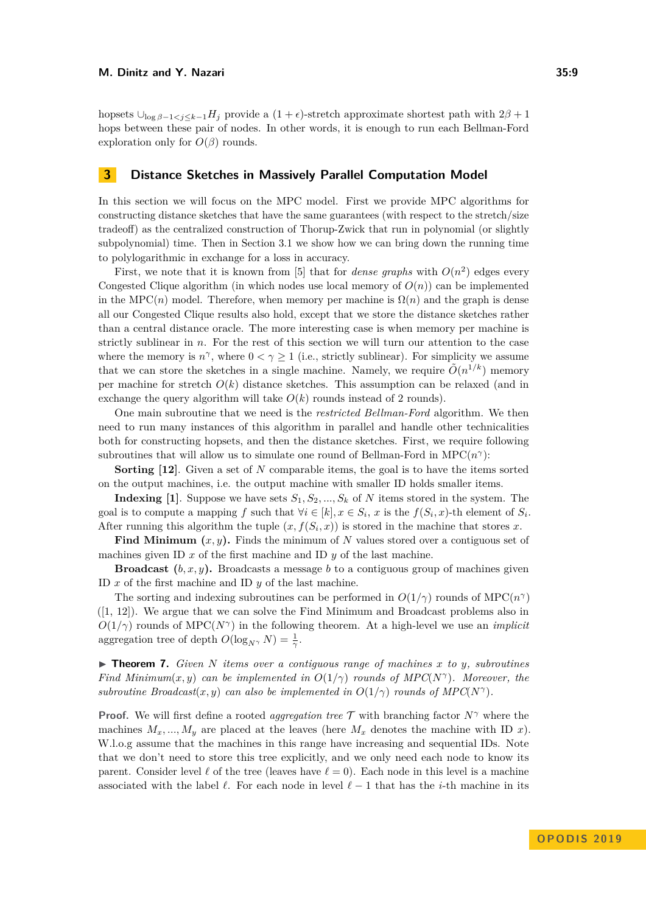hopsets  $\bigcup_{\log \beta - 1 < j \leq k-1} H_j$  provide a  $(1 + \epsilon)$ -stretch approximate shortest path with  $2\beta + 1$ hops between these pair of nodes. In other words, it is enough to run each Bellman-Ford exploration only for  $O(\beta)$  rounds.

## <span id="page-8-0"></span>**3 Distance Sketches in Massively Parallel Computation Model**

In this section we will focus on the MPC model. First we provide MPC algorithms for constructing distance sketches that have the same guarantees (with respect to the stretch/size tradeoff) as the centralized construction of Thorup-Zwick that run in polynomial (or slightly subpolynomial) time. Then in Section [3.1](#page-11-0) we show how we can bring down the running time to polylogarithmic in exchange for a loss in accuracy.

First, we note that it is known from [\[5\]](#page-14-1) that for *dense graphs* with  $O(n^2)$  edges every Congested Clique algorithm (in which nodes use local memory of  $O(n)$ ) can be implemented in the MPC(*n*) model. Therefore, when memory per machine is  $\Omega(n)$  and the graph is dense all our Congested Clique results also hold, except that we store the distance sketches rather than a central distance oracle. The more interesting case is when memory per machine is strictly sublinear in *n*. For the rest of this section we will turn our attention to the case where the memory is  $n^{\gamma}$ , where  $0 < \gamma \ge 1$  (i.e., strictly sublinear). For simplicity we assume that we can store the sketches in a single machine. Namely, we require  $\tilde{O}(n^{1/k})$  memory per machine for stretch  $O(k)$  distance sketches. This assumption can be relaxed (and in exchange the query algorithm will take  $O(k)$  rounds instead of 2 rounds).

One main subroutine that we need is the *restricted Bellman-Ford* algorithm. We then need to run many instances of this algorithm in parallel and handle other technicalities both for constructing hopsets, and then the distance sketches. First, we require following subroutines that will allow us to simulate one round of Bellman-Ford in  $\text{MPC}(n^{\gamma})$ :

**Sorting [\[12\]](#page-15-9)**. Given a set of *N* comparable items, the goal is to have the items sorted on the output machines, i.e. the output machine with smaller ID holds smaller items.

**Indexing [\[1\]](#page-14-3)**. Suppose we have sets  $S_1, S_2, ..., S_k$  of N items stored in the system. The goal is to compute a mapping *f* such that  $\forall i \in [k], x \in S_i$ , *x* is the  $f(S_i, x)$ -th element of  $S_i$ . After running this algorithm the tuple  $(x, f(S_i, x))$  is stored in the machine that stores x.

**Find Minimum (***x, y***).** Finds the minimum of *N* values stored over a contiguous set of machines given ID  $x$  of the first machine and ID  $y$  of the last machine.

**Broadcast**  $(b, x, y)$ . Broadcasts a message *b* to a contiguous group of machines given ID *x* of the first machine and ID *y* of the last machine.

The sorting and indexing subroutines can be performed in  $O(1/\gamma)$  rounds of MPC( $n^{\gamma}$ ) ([\[1,](#page-14-3) [12\]](#page-15-9)). We argue that we can solve the Find Minimum and Broadcast problems also in  $O(1/\gamma)$  rounds of MPC( $N^{\gamma}$ ) in the following theorem. At a high-level we use an *implicit* aggregation tree of depth  $O(\log_{N^{\gamma}} N) = \frac{1}{\gamma}$ .

<span id="page-8-1"></span> $\triangleright$  **Theorem 7.** *Given N items over a contiguous range of machines x to y*, *subroutines Find Minimum*(*x, y*) *can be implemented in*  $O(1/\gamma)$  *rounds of MPC*( $N^{\gamma}$ ). Moreover, the *subroutine Broadcast* $(x, y)$  *can also be implemented in*  $O(1/\gamma)$  *rounds of MPC*( $N^{\gamma}$ ).

**Proof.** We will first define a rooted *aggregation tree* T with branching factor *N<sup>γ</sup>* where the machines  $M_x, ..., M_y$  are placed at the leaves (here  $M_x$  denotes the machine with ID *x*). W.l.o.g assume that the machines in this range have increasing and sequential IDs. Note that we don't need to store this tree explicitly, and we only need each node to know its parent. Consider level  $\ell$  of the tree (leaves have  $\ell = 0$ ). Each node in this level is a machine associated with the label  $\ell$ . For each node in level  $\ell - 1$  that has the *i*-th machine in its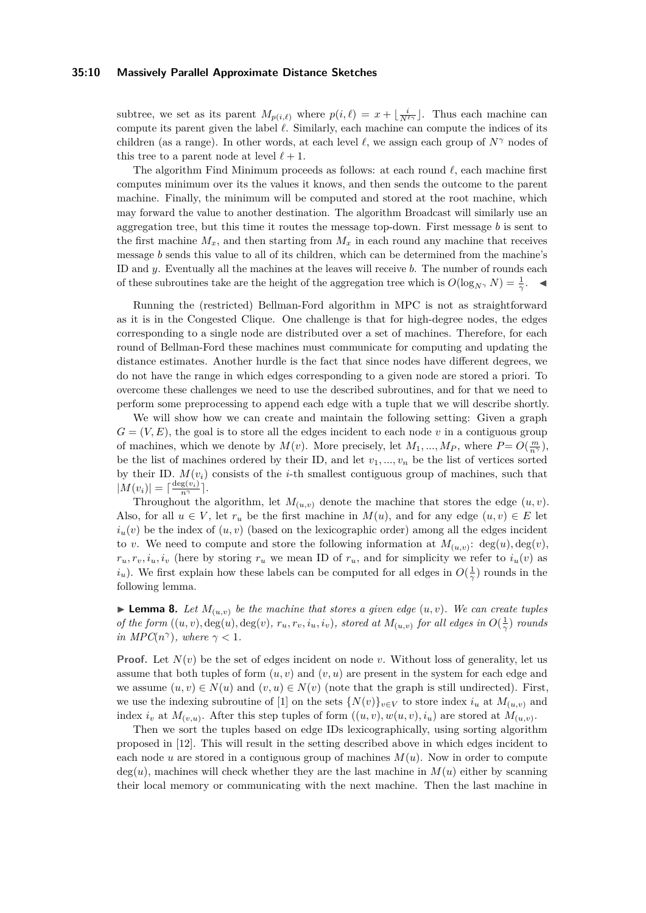### **35:10 Massively Parallel Approximate Distance Sketches**

subtree, we set as its parent  $M_{p(i,\ell)}$  where  $p(i,\ell) = x + \lfloor \frac{i}{N^{\ell}} \rfloor$ . Thus each machine can compute its parent given the label  $\ell$ . Similarly, each machine can compute the indices of its children (as a range). In other words, at each level  $\ell$ , we assign each group of  $N^{\gamma}$  nodes of this tree to a parent node at level  $\ell + 1$ .

The algorithm Find Minimum proceeds as follows: at each round  $\ell$ , each machine first computes minimum over its the values it knows, and then sends the outcome to the parent machine. Finally, the minimum will be computed and stored at the root machine, which may forward the value to another destination. The algorithm Broadcast will similarly use an aggregation tree, but this time it routes the message top-down. First message *b* is sent to the first machine  $M_x$ , and then starting from  $M_x$  in each round any machine that receives message *b* sends this value to all of its children, which can be determined from the machine's ID and *y*. Eventually all the machines at the leaves will receive *b*. The number of rounds each of these subroutines take are the height of the aggregation tree which is  $O(\log_{N^{\gamma}} N) = \frac{1}{\gamma}$ .

Running the (restricted) Bellman-Ford algorithm in MPC is not as straightforward as it is in the Congested Clique. One challenge is that for high-degree nodes, the edges corresponding to a single node are distributed over a set of machines. Therefore, for each round of Bellman-Ford these machines must communicate for computing and updating the distance estimates. Another hurdle is the fact that since nodes have different degrees, we do not have the range in which edges corresponding to a given node are stored a priori. To overcome these challenges we need to use the described subroutines, and for that we need to perform some preprocessing to append each edge with a tuple that we will describe shortly.

We will show how we can create and maintain the following setting: Given a graph  $G = (V, E)$ , the goal is to store all the edges incident to each node *v* in a contiguous group of machines, which we denote by  $M(v)$ . More precisely, let  $M_1, ..., M_P$ , where  $P = O(\frac{m}{n^{\gamma}})$ , be the list of machines ordered by their ID, and let  $v_1, ..., v_n$  be the list of vertices sorted by their ID.  $M(v_i)$  consists of the *i*-th smallest contiguous group of machines, such that  $|M(v_i)| = \lceil \frac{\deg(v_i)}{n^{\gamma}} \rceil.$ 

Throughout the algorithm, let  $M_{(u,v)}$  denote the machine that stores the edge  $(u, v)$ . Also, for all  $u \in V$ , let  $r_u$  be the first machine in  $M(u)$ , and for any edge  $(u, v) \in E$  let  $i<sub>u</sub>(v)$  be the index of  $(u, v)$  (based on the lexicographic order) among all the edges incident to *v*. We need to compute and store the following information at  $M_{(u,v)}$ : deg(*u*), deg(*v*),  $r_u, r_v, i_u, i_v$  (here by storing  $r_u$  we mean ID of  $r_u$ , and for simplicity we refer to  $i_u(v)$  as *i*<sub>*u*</sub>). We first explain how these labels can be computed for all edges in  $O(\frac{1}{\gamma})$  rounds in the following lemma.

<span id="page-9-0"></span>**Lemma 8.** Let  $M_{(u,v)}$  be the machine that stores a given edge  $(u, v)$ . We can create tuples of the form  $((u, v), deg(u), deg(v), r_u, r_v, i_u, i_v)$ , stored at  $M_{(u,v)}$  for all edges in  $O(\frac{1}{\gamma})$  rounds *in MPC*( $n^{\gamma}$ ), where  $\gamma < 1$ *.* 

**Proof.** Let  $N(v)$  be the set of edges incident on node v. Without loss of generality, let us assume that both tuples of form  $(u, v)$  and  $(v, u)$  are present in the system for each edge and we assume  $(u, v) \in N(u)$  and  $(v, u) \in N(v)$  (note that the graph is still undirected). First, we use the indexing subroutine of [\[1\]](#page-14-3) on the sets  $\{N(v)\}_{v\in V}$  to store index  $i_u$  at  $M_{(u,v)}$  and index  $i_v$  at  $M_{(v,u)}$ . After this step tuples of form  $((u, v), w(u, v), i_u)$  are stored at  $M_{(u,v)}$ .

Then we sort the tuples based on edge IDs lexicographically, using sorting algorithm proposed in [\[12\]](#page-15-9). This will result in the setting described above in which edges incident to each node *u* are stored in a contiguous group of machines  $M(u)$ . Now in order to compute  $deg(u)$ , machines will check whether they are the last machine in  $M(u)$  either by scanning their local memory or communicating with the next machine. Then the last machine in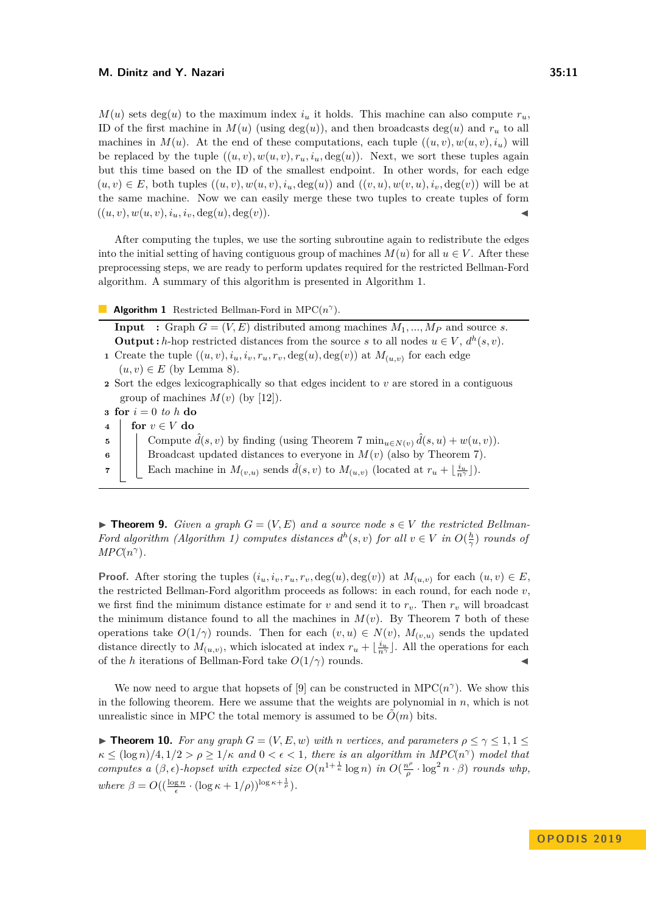$M(u)$  sets deg(*u*) to the maximum index  $i<sub>u</sub>$ , it holds. This machine can also compute  $r<sub>u</sub>$ , ID of the first machine in  $M(u)$  (using deg(*u*)), and then broadcasts deg(*u*) and  $r_u$  to all machines in  $M(u)$ . At the end of these computations, each tuple  $((u, v), w(u, v), i_u)$  will be replaced by the tuple  $((u, v), w(u, v), r_u, i_u, \deg(u))$ . Next, we sort these tuples again but this time based on the ID of the smallest endpoint. In other words, for each edge  $(u, v) \in E$ , both tuples  $((u, v), w(u, v), i_u, \deg(u))$  and  $((v, u), w(v, u), i_v, \deg(v))$  will be at the same machine. Now we can easily merge these two tuples to create tuples of form  $((u, v), w(u, v), i_u, i_v, \deg(u), \deg(v)).$ 

After computing the tuples, we use the sorting subroutine again to redistribute the edges into the initial setting of having contiguous group of machines  $M(u)$  for all  $u \in V$ . After these preprocessing steps, we are ready to perform updates required for the restricted Bellman-Ford algorithm. A summary of this algorithm is presented in Algorithm [1.](#page-10-0)

**Algorithm 1** Restricted Bellman-Ford in  $\text{MPC}(n^{\gamma})$ .

<span id="page-10-0"></span>**Input** : Graph  $G = (V, E)$  distributed among machines  $M_1, ..., M_P$  and source *s*. **Output :** *h*-hop restricted distances from the source *s* to all nodes  $u \in V$ ,  $d^h(s, v)$ .

- **1** Create the tuple  $((u, v), i_u, i_v, r_u, r_v, \deg(u), \deg(v))$  at  $M_{(u, v)}$  for each edge  $(u, v) \in E$  (by Lemma [8\)](#page-9-0).
- **<sup>2</sup>** Sort the edges lexicographically so that edges incident to *v* are stored in a contiguous group of machines  $M(v)$  (by [\[12\]](#page-15-9)).
- **<sup>3</sup> for** *i* = 0 *to h* **do**
- **<sup>4</sup> for** *v* ∈ *V* **do**
- **5** Compute  $\hat{d}(s, v)$  by finding (using Theorem [7](#page-8-1) min<sub>u∈N(*v*)</sub>  $\hat{d}(s, u) + w(u, v)$ ).
- **6** Broadcast updated distances to everyone in  $M(v)$  (also by Theorem [7\)](#page-8-1).
- **7** Each machine in  $M_{(v,u)}$  sends  $\hat{d}(s, v)$  to  $M_{(u,v)}$  (located at  $r_u + \lfloor \frac{i_u}{n^{\gamma}} \rfloor$ ).

<span id="page-10-1"></span>**Figure 10.** *Given a graph*  $G = (V, E)$  *and a source node*  $s \in V$  *the restricted Bellman-Ford algorithm (Algorithm [1\)](#page-10-0) computes distances*  $d^h(s, v)$  *for all*  $v \in V$  *in*  $O(\frac{h}{\gamma})$  *rounds of*  $MPC(n^{\gamma})$ .

**Proof.** After storing the tuples  $(i_u, i_v, r_u, r_v, \deg(u), \deg(v))$  at  $M_{(u,v)}$  for each  $(u, v) \in E$ , the restricted Bellman-Ford algorithm proceeds as follows: in each round, for each node *v*, we first find the minimum distance estimate for *v* and send it to  $r_v$ . Then  $r_v$  will broadcast the minimum distance found to all the machines in  $M(v)$ . By Theorem [7](#page-8-1) both of these operations take  $O(1/\gamma)$  rounds. Then for each  $(v, u) \in N(v)$ ,  $M_{(v, u)}$  sends the updated distance directly to  $M_{(u,v)}$ , which islocated at index  $r_u + \lfloor \frac{i_u}{n^{\gamma}} \rfloor$ . All the operations for each of the *h* iterations of Bellman-Ford take  $O(1/\gamma)$  rounds.

We now need to argue that hopsets of [\[9\]](#page-15-0) can be constructed in  $\text{MPC}(n^{\gamma})$ . We show this in the following theorem. Here we assume that the weights are polynomial in *n*, which is not unrealistic since in MPC the total memory is assumed to be  $\tilde{O}(m)$  bits.

<span id="page-10-2"></span>**Find 10.** For any graph  $G = (V, E, w)$  with *n* vertices, and parameters  $\rho \le \gamma \le 1, 1 \le$  $\kappa \leq (\log n)/4, 1/2 > \rho \geq 1/\kappa$  *and*  $0 < \epsilon < 1$ *, there is an algorithm in MPC*(*n*<sup> $\gamma$ </sup>) *model that computes a*  $(\beta, \epsilon)$ -hopset with expected size  $O(n^{1+\frac{1}{\kappa}} \log n)$  *in*  $O(\frac{n^{\rho}}{n})$  $\frac{n^{\rho}}{\rho} \cdot \log^2 n \cdot \beta$ ) *rounds whp*,  $where \ \beta = O((\frac{\log n}{\epsilon} \cdot (\log \kappa + 1/\rho))^{\log \kappa + \frac{1}{\rho}}).$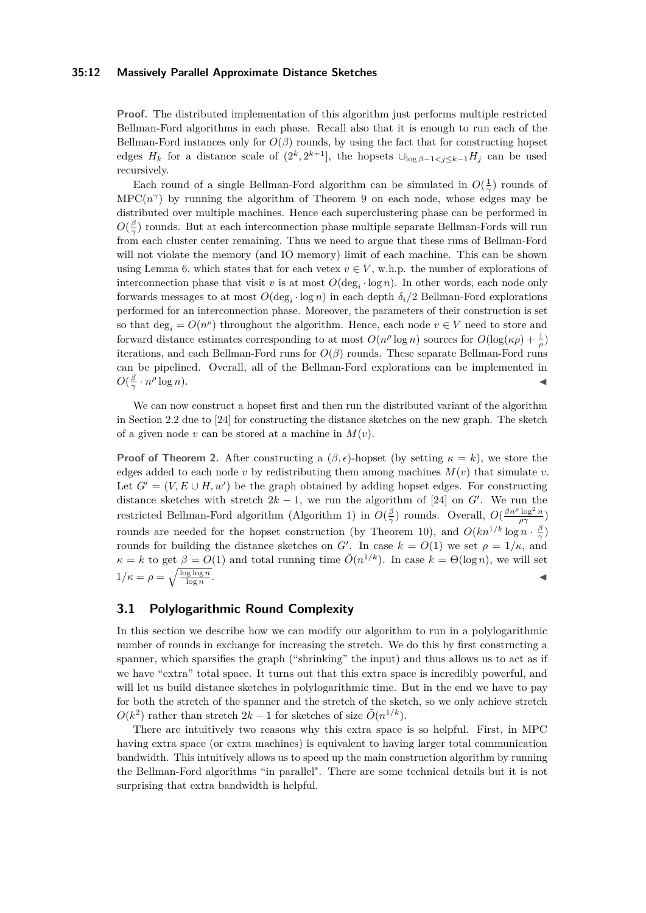### **35:12 Massively Parallel Approximate Distance Sketches**

**Proof.** The distributed implementation of this algorithm just performs multiple restricted Bellman-Ford algorithms in each phase. Recall also that it is enough to run each of the Bellman-Ford instances only for  $O(\beta)$  rounds, by using the fact that for constructing hopset edges  $H_k$  for a distance scale of  $(2^k, 2^{k+1}]$ , the hopsets  $\cup_{\log \beta - 1 < j \leq k-1} H_j$  can be used recursively.

Each round of a single Bellman-Ford algorithm can be simulated in  $O(\frac{1}{\gamma})$  rounds of  $MPC(n^{\gamma})$  by running the algorithm of Theorem [9](#page-10-1) on each node, whose edges may be distributed over multiple machines. Hence each superclustering phase can be performed in  $O(\frac{\beta}{\gamma})$  rounds. But at each interconnection phase multiple separate Bellman-Fords will run from each cluster center remaining. Thus we need to argue that these runs of Bellman-Ford will not violate the memory (and IO memory) limit of each machine. This can be shown using Lemma [6,](#page-7-0) which states that for each vetex  $v \in V$ , w.h.p. the number of explorations of interconnection phase that visit *v* is at most  $O(\deg_i \cdot \log n)$ . In other words, each node only forwards messages to at most  $O(\deg_i \cdot \log n)$  in each depth  $\delta_i/2$  Bellman-Ford explorations performed for an interconnection phase. Moreover, the parameters of their construction is set so that  $\deg_i = O(n^{\rho})$  throughout the algorithm. Hence, each node  $v \in V$  need to store and forward distance estimates corresponding to at most  $O(n^{\rho} \log n)$  sources for  $O(\log(\kappa \rho) + \frac{1}{\rho})$ iterations, and each Bellman-Ford runs for  $O(\beta)$  rounds. These separate Bellman-Ford runs can be pipelined. Overall, all of the Bellman-Ford explorations can be implemented in  $O(\frac{\beta}{\gamma} \cdot n^{\rho})$  $\log n$ ).

We can now construct a hopset first and then run the distributed variant of the algorithm in Section [2.2](#page-6-1) due to [\[24\]](#page-15-6) for constructing the distance sketches on the new graph. The sketch of a given node *v* can be stored at a machine in *M*(*v*).

**Proof of Theorem [2.](#page-3-2)** After constructing a  $(\beta, \epsilon)$ -hopset (by setting  $\kappa = k$ ), we store the edges added to each node *v* by redistributing them among machines  $M(v)$  that simulate *v*. Let  $G' = (V, E \cup H, w')$  be the graph obtained by adding hopset edges. For constructing distance sketches with stretch  $2k - 1$ , we run the algorithm of [\[24\]](#page-15-6) on *G'*. We run the restricted Bellman-Ford algorithm (Algorithm [1\)](#page-10-0) in  $O(\frac{\beta}{\gamma})$  rounds. Overall,  $O(\frac{\beta n^{\rho} \log^2 n}{\rho \gamma})$ rounds are needed for the hopset construction (by Theorem [10\)](#page-10-2), and  $O(kn^{1/k} \log n \cdot \frac{\beta}{\gamma})$ rounds for building the distance sketches on *G'*. In case  $k = O(1)$  we set  $\rho = 1/\kappa$ , and  $\kappa = k$  to get  $\beta = O(1)$  and total running time  $\tilde{O}(n^{1/k})$ . In case  $k = \Theta(\log n)$ , we will set  $1/\kappa = \rho = \sqrt{\frac{\log \log n}{\log n}}$ . January 1980, and the contract of the contract of the contract of the contract of

## <span id="page-11-0"></span>**3.1 Polylogarithmic Round Complexity**

In this section we describe how we can modify our algorithm to run in a polylogarithmic number of rounds in exchange for increasing the stretch. We do this by first constructing a spanner, which sparsifies the graph ("shrinking" the input) and thus allows us to act as if we have "extra" total space. It turns out that this extra space is incredibly powerful, and will let us build distance sketches in polylogarithmic time. But in the end we have to pay for both the stretch of the spanner and the stretch of the sketch, so we only achieve stretch  $O(k^2)$  rather than stretch  $2k-1$  for sketches of size  $\tilde{O}(n^{1/k})$ .

There are intuitively two reasons why this extra space is so helpful. First, in MPC having extra space (or extra machines) is equivalent to having larger total communication bandwidth. This intuitively allows us to speed up the main construction algorithm by running the Bellman-Ford algorithms "in parallel". There are some technical details but it is not surprising that extra bandwidth is helpful.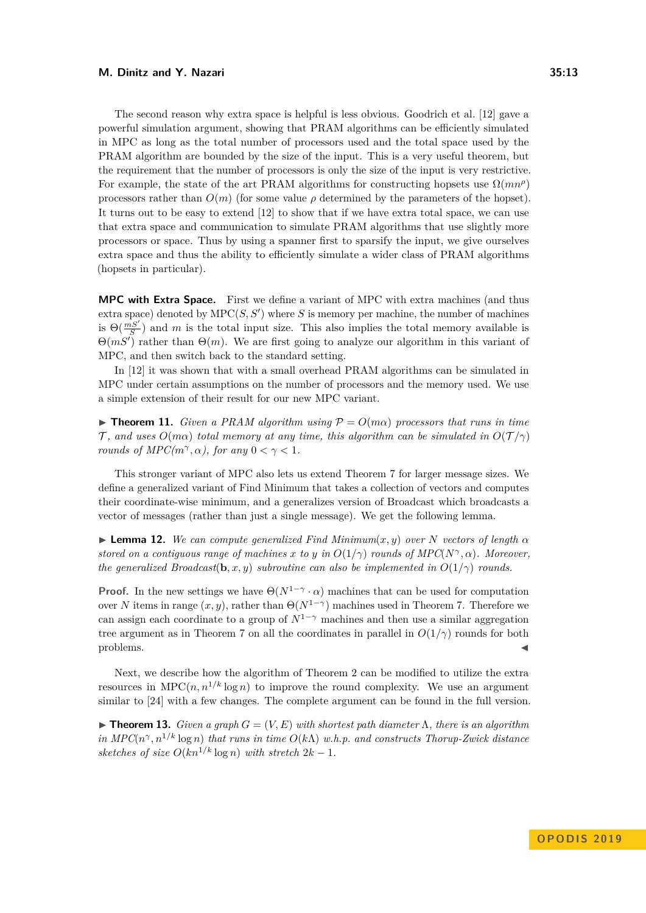The second reason why extra space is helpful is less obvious. Goodrich et al. [\[12\]](#page-15-9) gave a powerful simulation argument, showing that PRAM algorithms can be efficiently simulated in MPC as long as the total number of processors used and the total space used by the PRAM algorithm are bounded by the size of the input. This is a very useful theorem, but the requirement that the number of processors is only the size of the input is very restrictive. For example, the state of the art PRAM algorithms for constructing hopsets use  $\Omega(mn^{\rho})$ processors rather than  $O(m)$  (for some value  $\rho$  determined by the parameters of the hopset). It turns out to be easy to extend [\[12\]](#page-15-9) to show that if we have extra total space, we can use that extra space and communication to simulate PRAM algorithms that use slightly more processors or space. Thus by using a spanner first to sparsify the input, we give ourselves extra space and thus the ability to efficiently simulate a wider class of PRAM algorithms (hopsets in particular).

**MPC with Extra Space.** First we define a variant of MPC with extra machines (and thus extra space) denoted by  $\text{MPC}(S, S')$  where *S* is memory per machine, the number of machines is  $\Theta(\frac{mS'}{S})$  and *m* is the total input size. This also implies the total memory available is  $\Theta(mS')$  rather than  $\Theta(m)$ . We are first going to analyze our algorithm in this variant of MPC, and then switch back to the standard setting.

In [\[12\]](#page-15-9) it was shown that with a small overhead PRAM algorithms can be simulated in MPC under certain assumptions on the number of processors and the memory used. We use a simple extension of their result for our new MPC variant.

<span id="page-12-1"></span>**Findmer 11.** *Given a PRAM algorithm using*  $P = O(m\alpha)$  *processors that runs in time* T, and uses  $O(m\alpha)$  *total memory at any time, this algorithm can be simulated in*  $O(\mathcal{T}/\gamma)$ *rounds of MPC(m<sup>* $\gamma$ *</sup>,* $\alpha$ *), for any*  $0 < \gamma < 1$ .

This stronger variant of MPC also lets us extend Theorem [7](#page-8-1) for larger message sizes. We define a generalized variant of Find Minimum that takes a collection of vectors and computes their coordinate-wise minimum, and a generalizes version of Broadcast which broadcasts a vector of messages (rather than just a single message). We get the following lemma.

 $\blacktriangleright$  **Lemma 12.** We can compute generalized Find Minimum $(x, y)$  over *N* vectors of length  $\alpha$ *stored on a contiguous range of machines* x to y in  $O(1/\gamma)$  *rounds of MPC*( $N^{\gamma}, \alpha$ ). Moreover, *the generalized Broadcast*(**b**, *x*, *y*) *subroutine can also be implemented in*  $O(1/\gamma)$  *rounds.* 

**Proof.** In the new settings we have  $\Theta(N^{1-\gamma} \cdot \alpha)$  machines that can be used for computation over *N* items in range  $(x, y)$ , rather than  $\Theta(N^{1-\gamma})$  machines used in Theorem [7.](#page-8-1) Therefore we can assign each coordinate to a group of  $N^{1-\gamma}$  machines and then use a similar aggregation tree argument as in Theorem [7](#page-8-1) on all the coordinates in parallel in  $O(1/\gamma)$  rounds for both problems.

Next, we describe how the algorithm of Theorem [2](#page-3-2) can be modified to utilize the extra resources in  $\text{MPC}(n, n^{1/k} \log n)$  to improve the round complexity. We use an argument similar to [\[24\]](#page-15-6) with a few changes. The complete argument can be found in the full version.

<span id="page-12-0"></span>**Find 13.** *Given a graph*  $G = (V, E)$  *with shortest path diameter*  $\Lambda$ *, there is an algorithm in MPC*( $n^{\gamma}, n^{1/k}$  log *n*) *that runs in time*  $O(k\Lambda)$  *w.h.p. and constructs Thorup-Zwick distance sketches of size*  $O(kn^{1/k} \log n)$  *with stretch*  $2k - 1$ *.*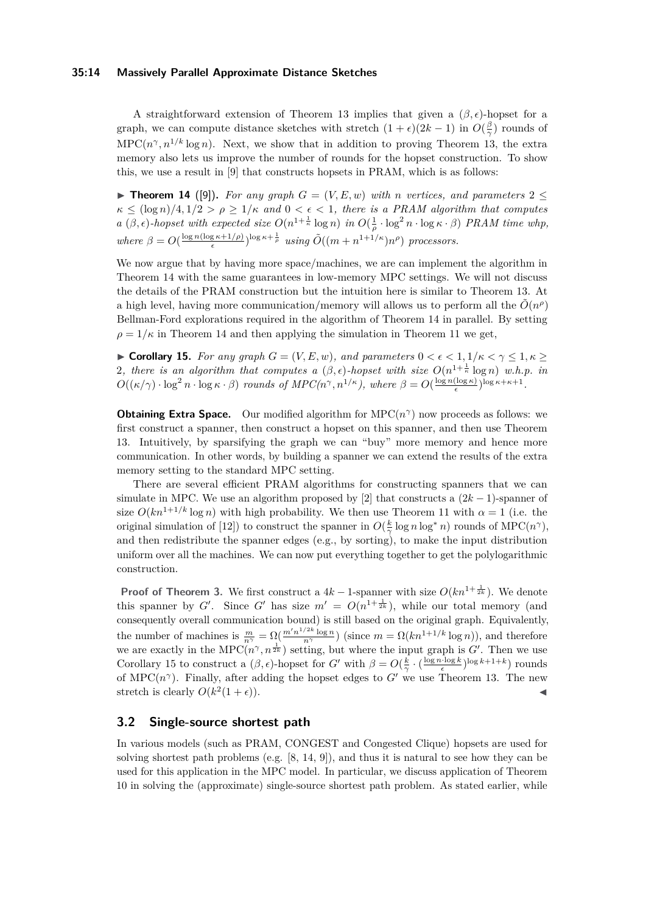## **35:14 Massively Parallel Approximate Distance Sketches**

A straightforward extension of Theorem [13](#page-12-0) implies that given a  $(\beta, \epsilon)$ -hopset for a graph, we can compute distance sketches with stretch  $(1 + \epsilon)(2k - 1)$  in  $O(\frac{\beta}{\gamma})$  rounds of  $\text{MPC}(n^{\gamma}, n^{1/k} \log n)$ . Next, we show that in addition to proving Theorem [13,](#page-12-0) the extra memory also lets us improve the number of rounds for the hopset construction. To show this, we use a result in [\[9\]](#page-15-0) that constructs hopsets in PRAM, which is as follows:

<span id="page-13-1"></span>**Findment 14** ([\[9\]](#page-15-0)). For any graph  $G = (V, E, w)$  with *n* vertices, and parameters 2 <  $\kappa \leq (\log n)/4, 1/2 > \rho \geq 1/\kappa$  *and*  $0 < \epsilon < 1$ *, there is a PRAM algorithm that computes a*  $(\beta, \epsilon)$ -hopset with expected size  $O(n^{1+\frac{1}{\kappa}} \log n)$  *in*  $O(\frac{1}{\rho} \cdot \log^2 n \cdot \log \kappa \cdot \beta)$  *PRAM time whp,*  $where \beta = O(\frac{\log n(\log \kappa + 1/\rho)}{\epsilon})$  $\frac{g \kappa + 1/\rho}{\epsilon}$   $\int_0^{\log \kappa + \frac{1}{\rho}} u \sin g \, \tilde{O}((m + n^{1+1/\kappa}) n^{\rho})$  processors.

We now argue that by having more space/machines, we are can implement the algorithm in Theorem [14](#page-13-1) with the same guarantees in low-memory MPC settings. We will not discuss the details of the PRAM construction but the intuition here is similar to Theorem [13.](#page-12-0) At a high level, having more communication/memory will allows us to perform all the  $\tilde{O}(n^{\rho})$ Bellman-Ford explorations required in the algorithm of Theorem [14](#page-13-1) in parallel. By setting  $\rho = 1/\kappa$  in Theorem [14](#page-13-1) and then applying the simulation in Theorem [11](#page-12-1) we get,

<span id="page-13-2"></span>**Corollary 15.** *For any graph*  $G = (V, E, w)$ *, and parameters*  $0 < \epsilon < 1, 1/\kappa < \gamma \leq 1, \kappa \geq 1$ 2, there is an algorithm that computes a  $(\beta, \epsilon)$ -hopset with size  $O(n^{1+\frac{1}{\kappa}} \log n)$  w.h.p. in  $O((\kappa/\gamma) \cdot \log^2 n \cdot \log \kappa \cdot \beta)$  *rounds of MPC(n<sup>* $\gamma$ *</sup>, n*<sup>1</sup>/<sup>*κ*</sup>), where  $\beta = O(\frac{\log n(\log \kappa)}{\epsilon})$  $\frac{(\log \kappa)}{\epsilon}$ <sup>log</sup>  $\kappa$ + $\kappa$ +1.

**Obtaining Extra Space.** Our modified algorithm for  $\text{MPC}(n^{\gamma})$  now proceeds as follows: we first construct a spanner, then construct a hopset on this spanner, and then use Theorem [13.](#page-12-0) Intuitively, by sparsifying the graph we can "buy" more memory and hence more communication. In other words, by building a spanner we can extend the results of the extra memory setting to the standard MPC setting.

There are several efficient PRAM algorithms for constructing spanners that we can simulate in MPC. We use an algorithm proposed by [\[2\]](#page-14-4) that constructs a  $(2k-1)$ -spanner of size  $O(kn^{1+1/k} \log n)$  with high probability. We then use Theorem [11](#page-12-1) with  $\alpha = 1$  (i.e. the original simulation of [\[12\]](#page-15-9)) to construct the spanner in  $O(\frac{k}{\gamma} \log n \log^* n)$  rounds of  $\text{MPC}(n^{\gamma})$ , and then redistribute the spanner edges (e.g., by sorting), to make the input distribution uniform over all the machines. We can now put everything together to get the polylogarithmic construction.

**Proof of Theorem [3.](#page-3-3)** We first construct a  $4k - 1$ -spanner with size  $O(kn^{1 + \frac{1}{2k}})$ . We denote this spanner by *G'*. Since *G'* has size  $m' = O(n^{1+\frac{1}{2k}})$ , while our total memory (and consequently overall communication bound) is still based on the original graph. Equivalently, the number of machines is  $\frac{m}{n^{\gamma}} = \Omega(\frac{m'n^{1/2k} \log n}{n^{\gamma}})$  (since  $m = \Omega(kn^{1+1/k} \log n)$ ), and therefore we are exactly in the MPC $(n^{\gamma}, n^{\frac{1}{2k}})$  setting, but where the input graph is *G'*. Then we use Corollary [15](#page-13-2) to construct a  $(\beta, \epsilon)$ -hopset for *G*<sup>*'*</sup> with  $\beta = O(\frac{k}{\gamma} \cdot (\frac{\log n \cdot \log k}{\epsilon})^{\log k + 1 + k})$  rounds of MPC( $n^{\gamma}$ ). Finally, after adding the hopset edges to G<sup>'</sup> we use Theorem [13.](#page-12-0) The new stretch is clearly  $O(k^2(1+\epsilon))$ .

## <span id="page-13-0"></span>**3.2 Single-source shortest path**

In various models (such as PRAM, CONGEST and Congested Clique) hopsets are used for solving shortest path problems (e.g. [\[8,](#page-15-16) [14,](#page-15-15) [9\]](#page-15-0)), and thus it is natural to see how they can be used for this application in the MPC model. In particular, we discuss application of Theorem [10](#page-10-2) in solving the (approximate) single-source shortest path problem. As stated earlier, while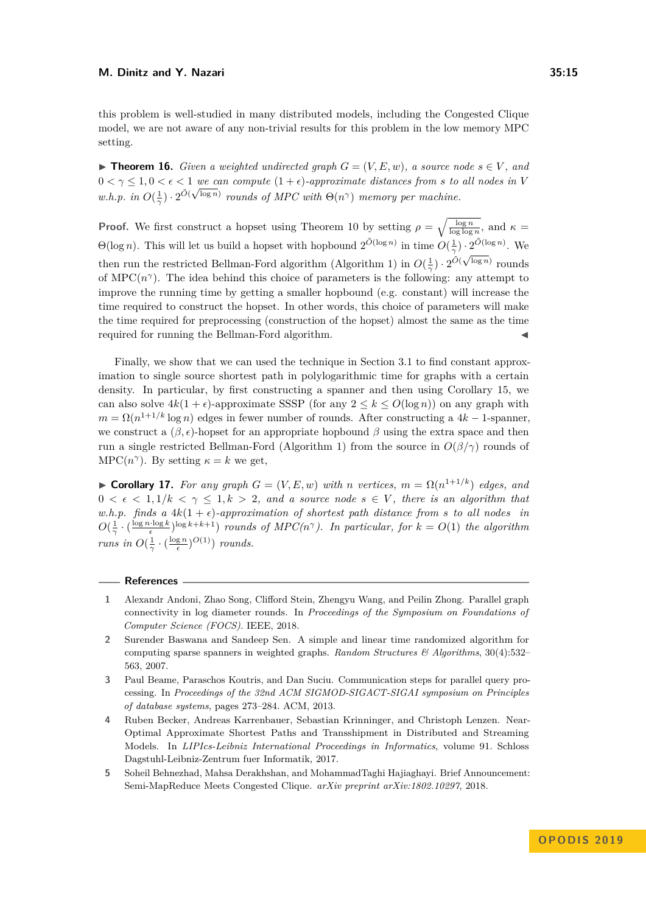this problem is well-studied in many distributed models, including the Congested Clique model, we are not aware of any non-trivial results for this problem in the low memory MPC setting.

▶ **Theorem 16.** *Given a weighted undirected graph*  $G = (V, E, w)$ *, a source node*  $s \in V$ *, and*  $0 < \gamma \leq 1, 0 < \epsilon < 1$  we can compute  $(1 + \epsilon)$ -approximate distances from *s* to all nodes in V *w.h.p.* in  $O(\frac{1}{\gamma}) \cdot 2^{\tilde{O}(\sqrt{\log n})}$  *rounds of MPC with*  $\Theta(n^{\gamma})$  *memory per machine.* 

**Proof.** We first construct a hopset using Theorem [10](#page-10-2) by setting  $\rho = \sqrt{\frac{\log n}{\log \log n}}$ , and  $\kappa =$ **Θ**(log *n*). This will let us build a hopset with hopbound  $2^{\tilde{O}(\log n)}$  in time  $O(\frac{1}{\gamma}) \cdot 2^{\tilde{O}(\log n)}$ . We then run the restricted Bellman-Ford algorithm (Algorithm [1\)](#page-10-0) in  $O(\frac{1}{\gamma}) \cdot 2^{\tilde{O}(\sqrt{\log n})}$  rounds of MPC $(n^{\gamma})$ . The idea behind this choice of parameters is the following: any attempt to improve the running time by getting a smaller hopbound (e.g. constant) will increase the time required to construct the hopset. In other words, this choice of parameters will make the time required for preprocessing (construction of the hopset) almost the same as the time required for running the Bellman-Ford algorithm.

Finally, we show that we can used the technique in Section [3.1](#page-11-0) to find constant approximation to single source shortest path in polylogarithmic time for graphs with a certain density. In particular, by first constructing a spanner and then using Corollary [15,](#page-13-2) we can also solve  $4k(1 + \epsilon)$ -approximate SSSP (for any  $2 \leq k \leq O(\log n)$ ) on any graph with  $m = \Omega(n^{1+1/k} \log n)$  edges in fewer number of rounds. After constructing a  $4k - 1$ -spanner, we construct a  $(β, ε)$ -hopset for an appropriate hopbound  $β$  using the extra space and then run a single restricted Bellman-Ford (Algorithm [1\)](#page-10-0) from the source in *O*(*β/γ*) rounds of  $\text{MPC}(n^{\gamma})$ . By setting  $\kappa = k$  we get,

► **Corollary 17.** *For any graph*  $G = (V, E, w)$  *with n vertices,*  $m = \Omega(n^{1+1/k})$  *edges, and*  $0 < \epsilon < 1, 1/k < \gamma \leq 1, k > 2$ , and a source node  $s \in V$ , there is an algorithm that *w.h.p.* finds a  $4k(1+\epsilon)$ -approximation of shortest path distance from s to all nodes in  $O(\frac{1}{\gamma} \cdot (\frac{\log n \cdot \log k}{\epsilon})^{\log k + k + 1})$  *rounds of MPC(n<sup>* $\gamma$ *</sup>). In particular, for*  $k = O(1)$  *the algorithm runs in*  $O(\frac{1}{\gamma} \cdot (\frac{\log n}{\epsilon})^{O(1)})$  *rounds.* 

#### **References**

- <span id="page-14-3"></span>**1** Alexandr Andoni, Zhao Song, Clifford Stein, Zhengyu Wang, and Peilin Zhong. Parallel graph connectivity in log diameter rounds. In *Proceedings of the Symposium on Foundations of Computer Science (FOCS)*. IEEE, 2018.
- <span id="page-14-4"></span>**2** Surender Baswana and Sandeep Sen. A simple and linear time randomized algorithm for computing sparse spanners in weighted graphs. *Random Structures & Algorithms*, 30(4):532– 563, 2007.
- <span id="page-14-0"></span>**3** Paul Beame, Paraschos Koutris, and Dan Suciu. Communication steps for parallel query processing. In *Proceedings of the 32nd ACM SIGMOD-SIGACT-SIGAI symposium on Principles of database systems*, pages 273–284. ACM, 2013.
- <span id="page-14-2"></span>**4** Ruben Becker, Andreas Karrenbauer, Sebastian Krinninger, and Christoph Lenzen. Near-Optimal Approximate Shortest Paths and Transshipment in Distributed and Streaming Models. In *LIPIcs-Leibniz International Proceedings in Informatics*, volume 91. Schloss Dagstuhl-Leibniz-Zentrum fuer Informatik, 2017.
- <span id="page-14-1"></span>**5** Soheil Behnezhad, Mahsa Derakhshan, and MohammadTaghi Hajiaghayi. Brief Announcement: Semi-MapReduce Meets Congested Clique. *arXiv preprint arXiv:1802.10297*, 2018.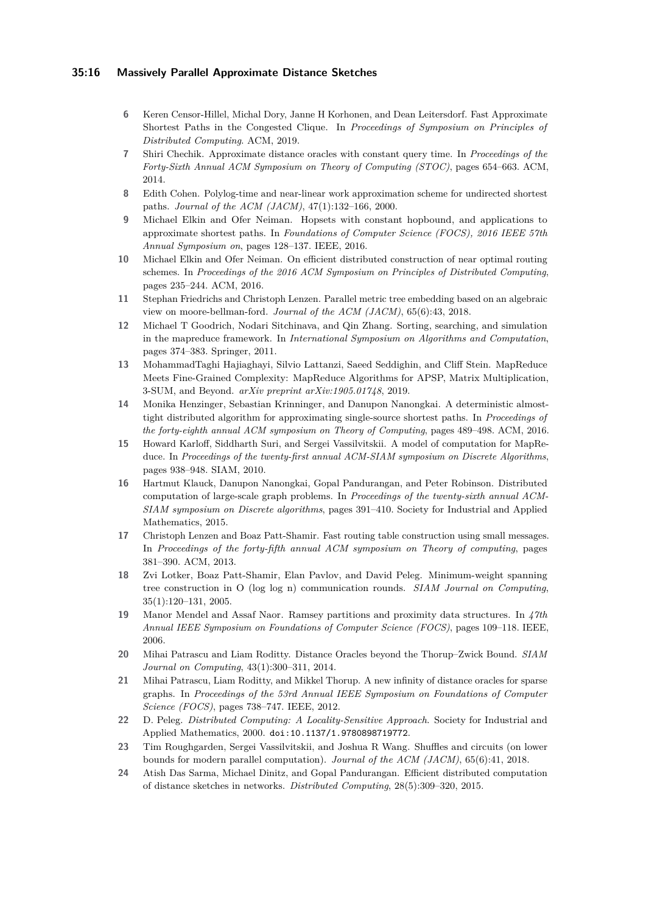## **35:16 Massively Parallel Approximate Distance Sketches**

- <span id="page-15-11"></span>**6** Keren Censor-Hillel, Michal Dory, Janne H Korhonen, and Dean Leitersdorf. Fast Approximate Shortest Paths in the Congested Clique. In *Proceedings of Symposium on Principles of Distributed Computing*. ACM, 2019.
- <span id="page-15-2"></span>**7** Shiri Chechik. Approximate distance oracles with constant query time. In *Proceedings of the Forty-Sixth Annual ACM Symposium on Theory of Computing (STOC)*, pages 654–663. ACM, 2014.
- <span id="page-15-16"></span>**8** Edith Cohen. Polylog-time and near-linear work approximation scheme for undirected shortest paths. *Journal of the ACM (JACM)*, 47(1):132–166, 2000.
- <span id="page-15-0"></span>**9** Michael Elkin and Ofer Neiman. Hopsets with constant hopbound, and applications to approximate shortest paths. In *Foundations of Computer Science (FOCS), 2016 IEEE 57th Annual Symposium on*, pages 128–137. IEEE, 2016.
- <span id="page-15-14"></span>**10** Michael Elkin and Ofer Neiman. On efficient distributed construction of near optimal routing schemes. In *Proceedings of the 2016 ACM Symposium on Principles of Distributed Computing*, pages 235–244. ACM, 2016.
- <span id="page-15-12"></span>**11** Stephan Friedrichs and Christoph Lenzen. Parallel metric tree embedding based on an algebraic view on moore-bellman-ford. *Journal of the ACM (JACM)*, 65(6):43, 2018.
- <span id="page-15-9"></span>**12** Michael T Goodrich, Nodari Sitchinava, and Qin Zhang. Sorting, searching, and simulation in the mapreduce framework. In *International Symposium on Algorithms and Computation*, pages 374–383. Springer, 2011.
- <span id="page-15-17"></span>**13** MohammadTaghi Hajiaghayi, Silvio Lattanzi, Saeed Seddighin, and Cliff Stein. MapReduce Meets Fine-Grained Complexity: MapReduce Algorithms for APSP, Matrix Multiplication, 3-SUM, and Beyond. *arXiv preprint arXiv:1905.01748*, 2019.
- <span id="page-15-15"></span>**14** Monika Henzinger, Sebastian Krinninger, and Danupon Nanongkai. A deterministic almosttight distributed algorithm for approximating single-source shortest paths. In *Proceedings of the forty-eighth annual ACM symposium on Theory of Computing*, pages 489–498. ACM, 2016.
- <span id="page-15-8"></span>**15** Howard Karloff, Siddharth Suri, and Sergei Vassilvitskii. A model of computation for MapReduce. In *Proceedings of the twenty-first annual ACM-SIAM symposium on Discrete Algorithms*, pages 938–948. SIAM, 2010.
- <span id="page-15-18"></span>**16** Hartmut Klauck, Danupon Nanongkai, Gopal Pandurangan, and Peter Robinson. Distributed computation of large-scale graph problems. In *Proceedings of the twenty-sixth annual ACM-SIAM symposium on Discrete algorithms*, pages 391–410. Society for Industrial and Applied Mathematics, 2015.
- <span id="page-15-13"></span>**17** Christoph Lenzen and Boaz Patt-Shamir. Fast routing table construction using small messages. In *Proceedings of the forty-fifth annual ACM symposium on Theory of computing*, pages 381–390. ACM, 2013.
- <span id="page-15-1"></span>**18** Zvi Lotker, Boaz Patt-Shamir, Elan Pavlov, and David Peleg. Minimum-weight spanning tree construction in O (log log n) communication rounds. *SIAM Journal on Computing*, 35(1):120–131, 2005.
- <span id="page-15-5"></span>**19** Manor Mendel and Assaf Naor. Ramsey partitions and proximity data structures. In *47th Annual IEEE Symposium on Foundations of Computer Science (FOCS)*, pages 109–118. IEEE, 2006.
- <span id="page-15-3"></span>**20** Mihai Patrascu and Liam Roditty. Distance Oracles beyond the Thorup–Zwick Bound. *SIAM Journal on Computing*, 43(1):300–311, 2014.
- <span id="page-15-4"></span>**21** Mihai Patrascu, Liam Roditty, and Mikkel Thorup. A new infinity of distance oracles for sparse graphs. In *Proceedings of the 53rd Annual IEEE Symposium on Foundations of Computer Science (FOCS)*, pages 738–747. IEEE, 2012.
- <span id="page-15-7"></span>**22** D. Peleg. *Distributed Computing: A Locality-Sensitive Approach*. Society for Industrial and Applied Mathematics, 2000. [doi:10.1137/1.9780898719772](https://doi.org/10.1137/1.9780898719772).
- <span id="page-15-10"></span>**23** Tim Roughgarden, Sergei Vassilvitskii, and Joshua R Wang. Shuffles and circuits (on lower bounds for modern parallel computation). *Journal of the ACM (JACM)*, 65(6):41, 2018.
- <span id="page-15-6"></span>**24** Atish Das Sarma, Michael Dinitz, and Gopal Pandurangan. Efficient distributed computation of distance sketches in networks. *Distributed Computing*, 28(5):309–320, 2015.